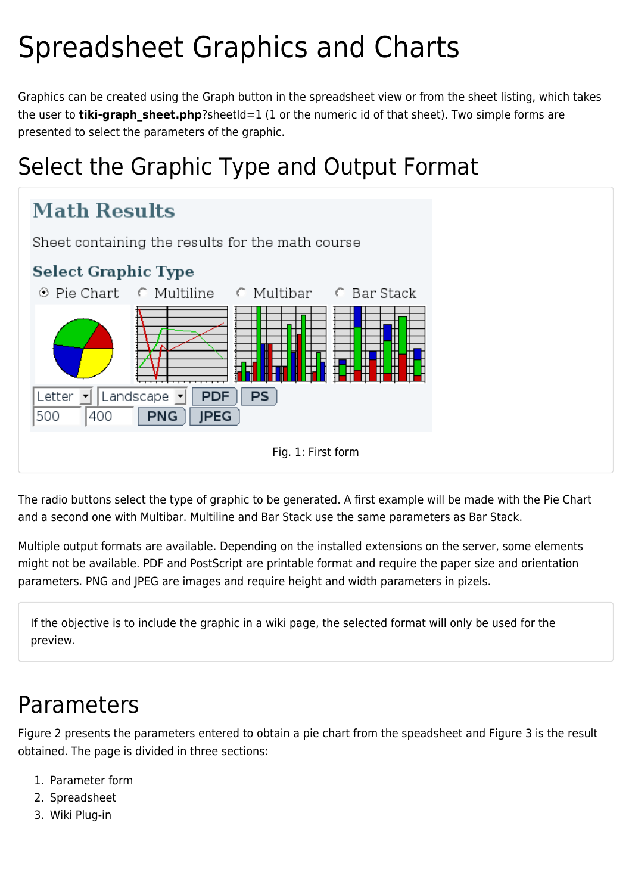# Spreadsheet Graphics and Charts

Graphics can be created using the Graph button in the spreadsheet view or from the sheet listing, which takes the user to **tiki-graph sheet.php**?sheetId=1 (1 or the numeric id of that sheet). Two simple forms are presented to select the parameters of the graphic.

## Select the Graphic Type and Output Format



The radio buttons select the type of graphic to be generated. A first example will be made with the Pie Chart and a second one with Multibar. Multiline and Bar Stack use the same parameters as Bar Stack.

Multiple output formats are available. Depending on the installed extensions on the server, some elements might not be available. PDF and PostScript are printable format and require the paper size and orientation parameters. PNG and JPEG are images and require height and width parameters in pizels.

If the objective is to include the graphic in a wiki page, the selected format will only be used for the preview.

### Parameters

Figure 2 presents the parameters entered to obtain a pie chart from the speadsheet and Figure 3 is the result obtained. The page is divided in three sections:

- 1. Parameter form
- 2. Spreadsheet
- 3. Wiki Plug-in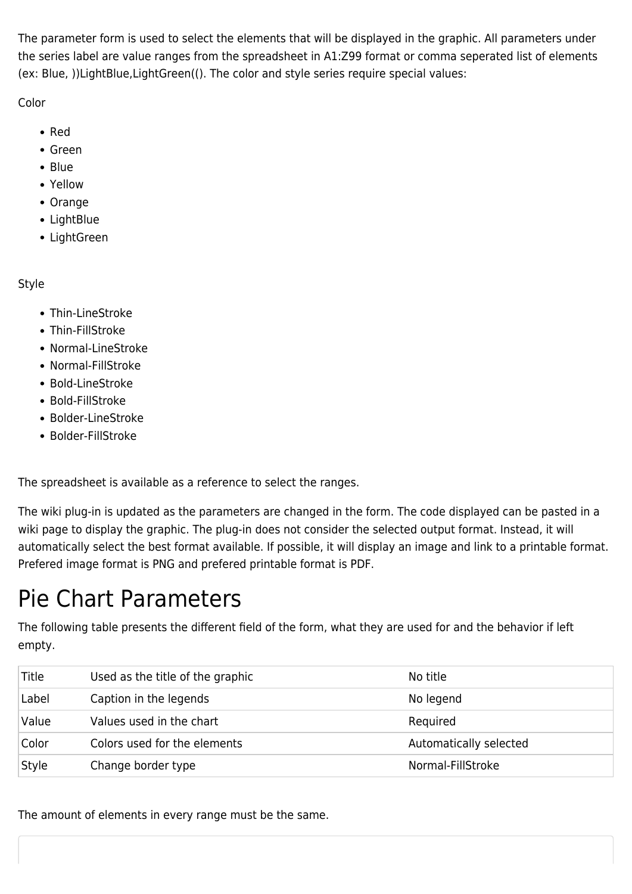The parameter form is used to select the elements that will be displayed in the graphic. All parameters under the series label are value ranges from the spreadsheet in A1:Z99 format or comma seperated list of elements (ex: Blue, ))LightBlue[,](https://doc.tiki.org/tiki-editpage.php?page=%2C)LightGreen((). The color and style series require special values:

Color

- Red
- Green
- Blue
- Yellow
- Orange
- LightBlue
- LightGreen

Style

- Thin-LineStroke
- Thin-FillStroke
- Normal-LineStroke
- Normal-FillStroke
- Bold-LineStroke
- Bold-FillStroke
- Bolder-LineStroke
- Bolder-FillStroke

The spreadsheet is available as a reference to select the ranges.

The wiki plug-in is updated as the parameters are changed in the form. The code displayed can be pasted in a wiki page to display the graphic. The plug-in does not consider the selected output format. Instead, it will automatically select the best format available. If possible, it will display an image and link to a printable format. Prefered image format is PNG and prefered printable format is PDF.

## Pie Chart Parameters

The following table presents the different field of the form, what they are used for and the behavior if left empty.

| Title | Used as the title of the graphic | No title               |
|-------|----------------------------------|------------------------|
| Label | Caption in the legends           | No legend              |
| Value | Values used in the chart         | Required               |
| Color | Colors used for the elements     | Automatically selected |
| Style | Change border type               | Normal-FillStroke      |

The amount of elements in every range must be the same.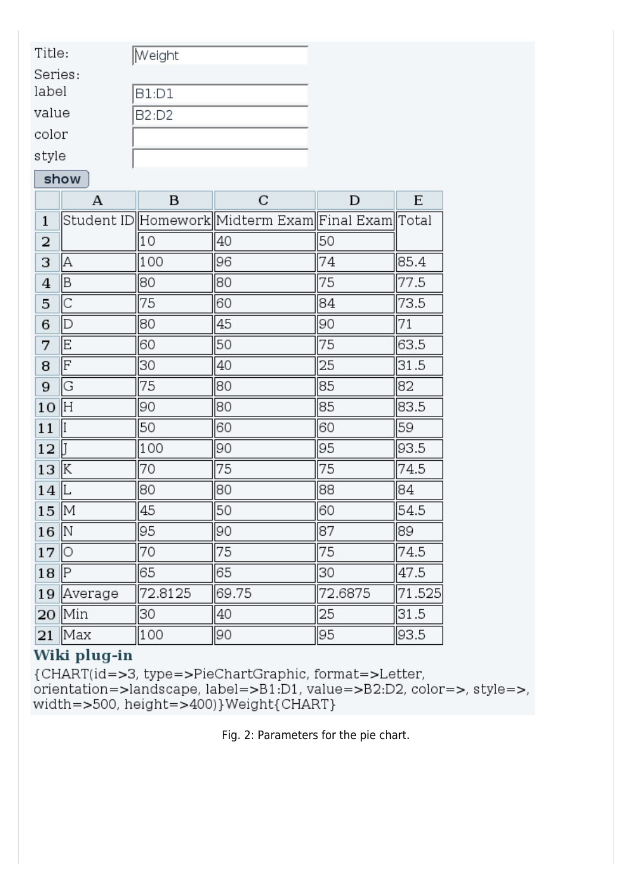| Title:        | Weight |
|---------------|--------|
| Series:       |        |
| label         | B1:D1  |
| value         | B2:D2  |
| color         |        |
| $\sim$ $\sim$ |        |

style

#### show

|              | А       | B       | C                                                     | D       | E      |
|--------------|---------|---------|-------------------------------------------------------|---------|--------|
| $\mathbf{1}$ |         |         | Student ID  Homework  Midterm Exam  Final Exam  Total |         |        |
| 2            |         | 10      | 40                                                    | 50      |        |
| 3            | А       | 100     | 96                                                    | 74      | 85.4   |
| 4            | B       | 80      | 80                                                    | 75      | 77.5   |
| 5            | C       | 75      | 60                                                    | 84      | 73.5   |
| 6            | D       | 80      | 45                                                    | 90      | 71     |
| 7            | E       | 60      | 50                                                    | 75      | 63.5   |
| 8            | F       | 30      | 40                                                    | 25      | 31.5   |
| 9            | G       | 75      | 80                                                    | 85      | 82     |
| 10           | lН      | 90      | 80                                                    | 85      | 83.5   |
| 11           | II      | 50      | 60                                                    | 60      | 59     |
| 12           | IT      | 100     | 90                                                    | 95      | 93.5   |
| 13           | ΙK      | 70      | 75                                                    | 75      | 74.5   |
| 14           | ΙL      | 80      | 80                                                    | 88      | 84     |
| 15           | M       | 45      | 50                                                    | 60      | 54.5   |
| 16           | lΝ      | 95      | 90                                                    | 87      | 89     |
| 17           | O       | 70      | 75                                                    | 75      | 74.5   |
| 18           | ΙP      | 65      | 65                                                    | 30      | 47.5   |
| 19           | Average | 72.8125 | 69.75                                                 | 72.6875 | 71.525 |
| 20           | Min     | 30      | 40                                                    | 25      | 31.5   |
| 21           | Max     | 100     | 90                                                    | 95      | 93.5   |

#### Wiki plug-in

{CHART(id=>3, type=>PieChartGraphic, format=>Letter,  $orientation = >landscale, label = >B1:D1, value = >B2:D2, color = >, style = >,$ width=>500, height=>400)}Weight{CHART}

Fig. 2: Parameters for the pie chart.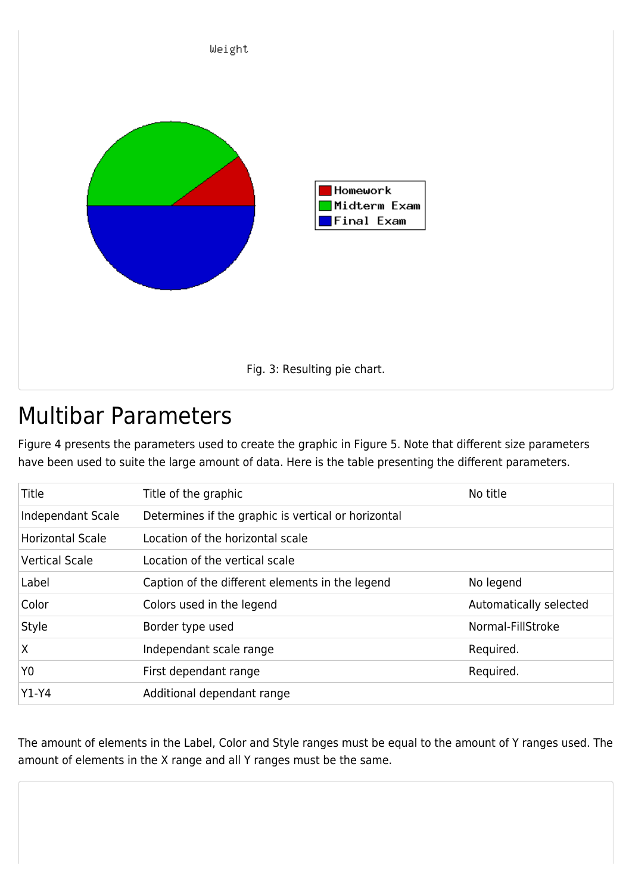

### Multibar Parameters

Figure 4 presents the parameters used to create the graphic in Figure 5. Note that different size parameters have been used to suite the large amount of data. Here is the table presenting the different parameters.

| Title                   | Title of the graphic                                | No title               |
|-------------------------|-----------------------------------------------------|------------------------|
| Independant Scale       | Determines if the graphic is vertical or horizontal |                        |
| <b>Horizontal Scale</b> | Location of the horizontal scale                    |                        |
| <b>Vertical Scale</b>   | Location of the vertical scale                      |                        |
| Label                   | Caption of the different elements in the legend     | No legend              |
| Color                   | Colors used in the legend                           | Automatically selected |
| Style                   | Border type used                                    | Normal-FillStroke      |
| X                       | Independant scale range                             | Required.              |
| Y <sub>0</sub>          | First dependant range                               | Required.              |
| $Y1-Y4$                 | Additional dependant range                          |                        |

The amount of elements in the Label, Color and Style ranges must be equal to the amount of Y ranges used. The amount of elements in the X range and all Y ranges must be the same.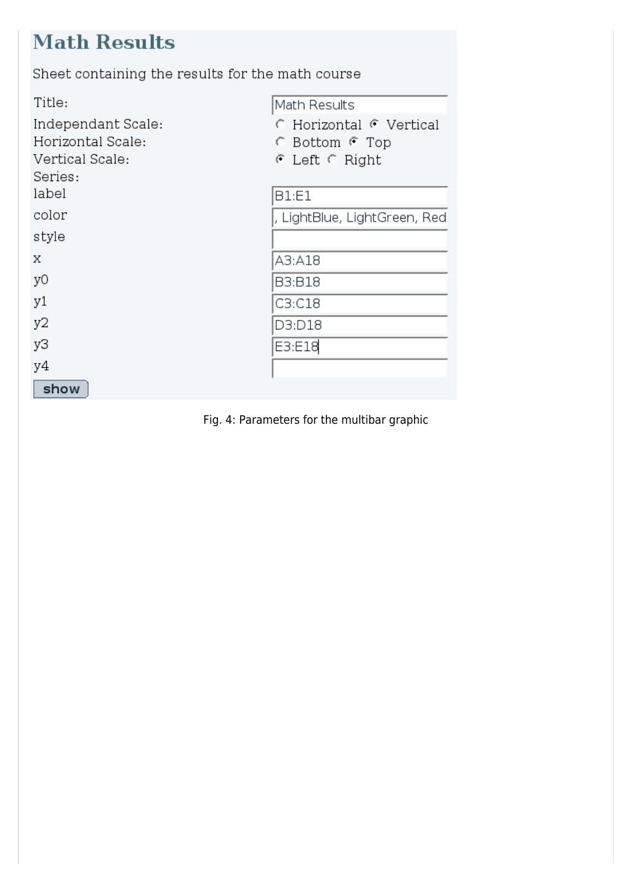### **Math Results**

Sheet containing the results for the math course

| Title:             | Math Results                     |
|--------------------|----------------------------------|
| Independant Scale: | <b>C</b> Horizontal C Vertical   |
| Horizontal Scale:  | ← Bottom ← Top                   |
| Vertical Scale:    | $\epsilon$ Left $\epsilon$ Right |
| Series:            |                                  |
| label              | <b>B1:E1</b>                     |
| color              | , LightBlue, LightGreen, Red     |
| style              |                                  |
| Χ                  | A3:A18                           |
| yО                 | <b>B3:B18</b>                    |
| y1                 | C3:C18                           |
| y2                 | D3:D18                           |
| yЗ                 | E3:E18                           |
| y4                 |                                  |
| show               |                                  |

Fig. 4: Parameters for the multibar graphic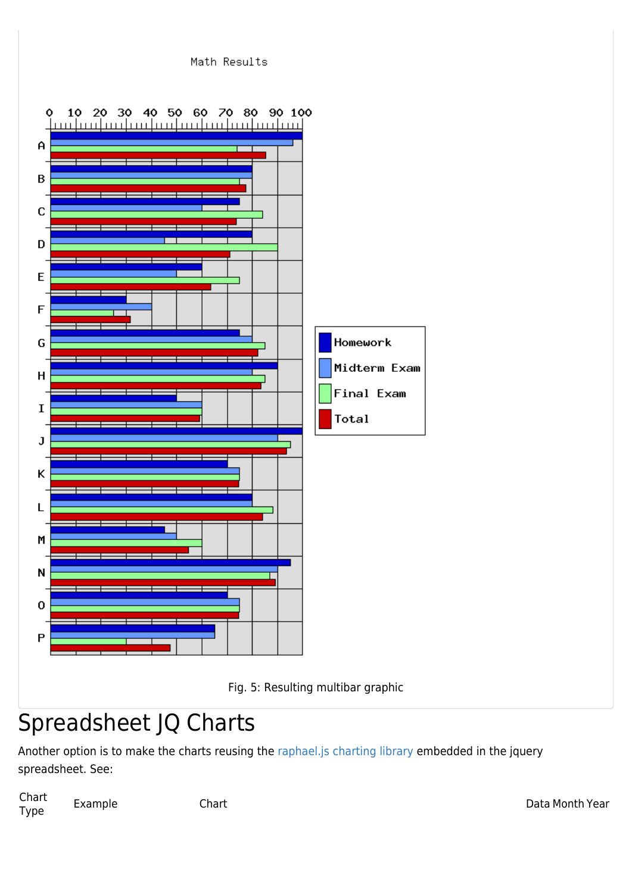



## Spreadsheet JQ Charts

Another option is to make the charts reusing the [raphael.js charting library](http://dmitrybaranovskiy.github.io/raphael/) embedded in the jquery spreadsheet. See:

Chart الساب المستشرية المستشرية المستشرية المستشرية المستشرية المستشرية والمستشرية المستشرية المستشرية والمستشرية ال<br>Type